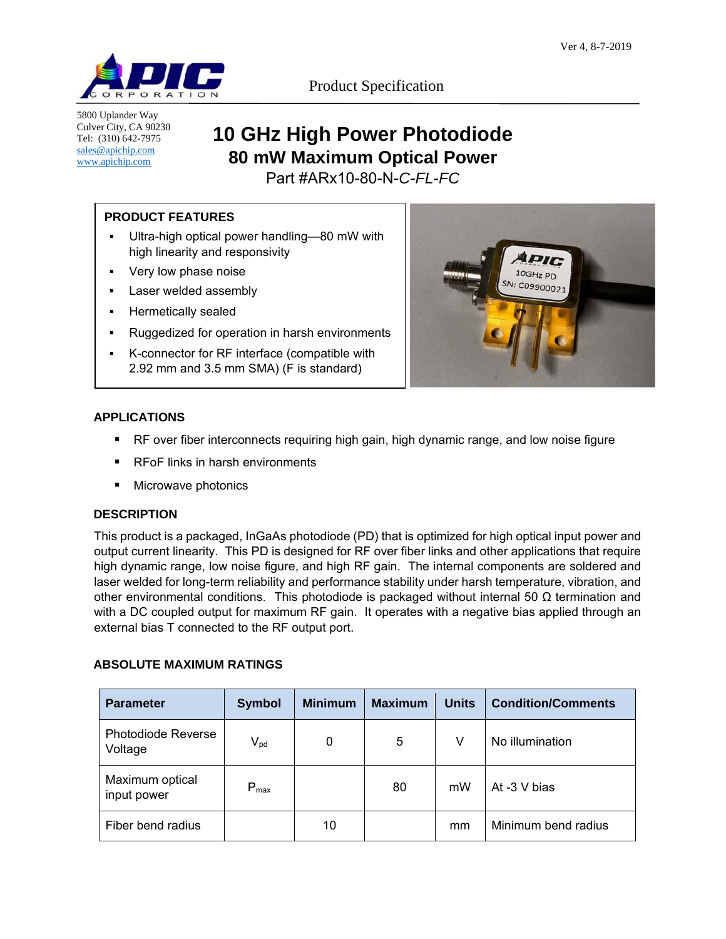

5800 Uplander Way Culver City, CA 90230 Tel: (310) 642-7975 sales@apichip.com www.apichip.com

Product Specification

# **10 GHz High Power Photodiode 80 mW Maximum Optical Power**

Part #ARx10-80-N-*C*-*FL*-*FC*

# **PRODUCT FEATURES**

- Ultra-high optical power handling—80 mW with high linearity and responsivity
- Very low phase noise
- Laser welded assembly
- **Hermetically sealed**
- **Ruggedized for operation in harsh environments**
- K-connector for RF interface (compatible with 2.92 mm and 3.5 mm SMA) (F is standard)



- RF over fiber interconnects requiring high gain, high dynamic range, and low noise figure
- **RFoF links in harsh environments**
- Microwave photonics

## **DESCRIPTION**

This product is a packaged, InGaAs photodiode (PD) that is optimized for high optical input power and output current linearity. This PD is designed for RF over fiber links and other applications that require high dynamic range, low noise figure, and high RF gain. The internal components are soldered and laser welded for long-term reliability and performance stability under harsh temperature, vibration, and other environmental conditions. This photodiode is packaged without internal 50  $\Omega$  termination and with a DC coupled output for maximum RF gain. It operates with a negative bias applied through an external bias T connected to the RF output port.

## **ABSOLUTE MAXIMUM RATINGS**

| <b>Parameter</b>                     | <b>Symbol</b>              | <b>Minimum</b> | <b>Maximum</b> | <b>Units</b> | <b>Condition/Comments</b> |
|--------------------------------------|----------------------------|----------------|----------------|--------------|---------------------------|
| <b>Photodiode Reverse</b><br>Voltage | $\mathsf{V}_{\mathsf{pd}}$ | 0              | 5              | V            | No illumination           |
| Maximum optical<br>input power       | $P_{\text{max}}$           |                | 80             | mW           | At $-3$ V bias            |
| Fiber bend radius                    |                            | 10             |                | mm           | Minimum bend radius       |

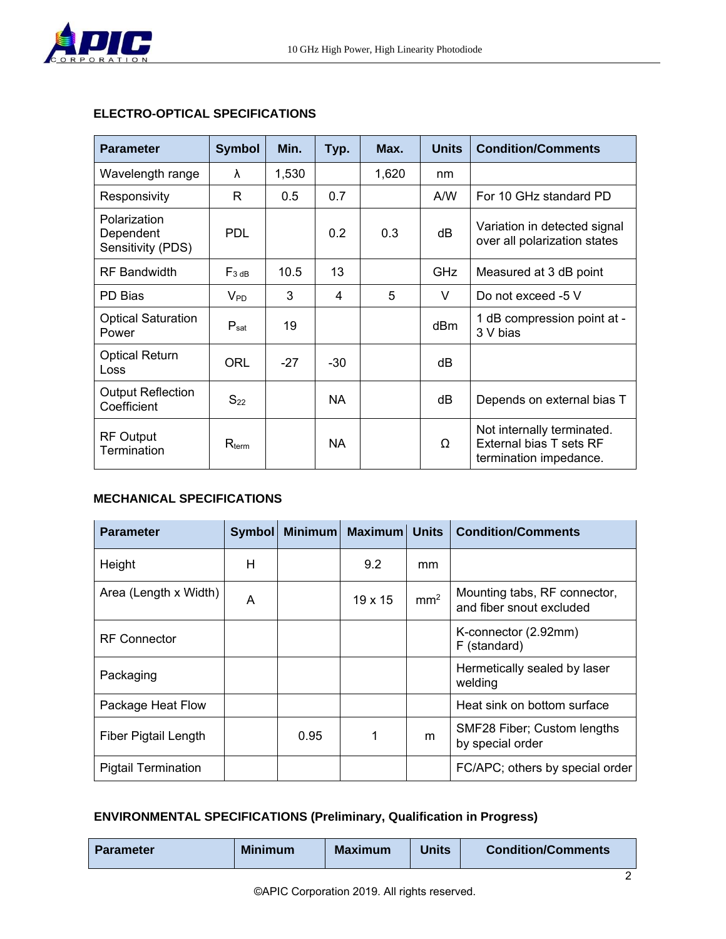

## **ELECTRO-OPTICAL SPECIFICATIONS**

| <b>Parameter</b>                               | <b>Symbol</b>     | Min.  | Typ.      | Max.  | <b>Units</b> | <b>Condition/Comments</b>                                                       |
|------------------------------------------------|-------------------|-------|-----------|-------|--------------|---------------------------------------------------------------------------------|
| Wavelength range                               | λ                 | 1,530 |           | 1,620 | nm           |                                                                                 |
| Responsivity                                   | R                 | 0.5   | 0.7       |       | A/W          | For 10 GHz standard PD                                                          |
| Polarization<br>Dependent<br>Sensitivity (PDS) | <b>PDL</b>        |       | 0.2       | 0.3   | dB           | Variation in detected signal<br>over all polarization states                    |
| <b>RF</b> Bandwidth                            | $F_{3 dB}$        | 10.5  | 13        |       | <b>GHz</b>   | Measured at 3 dB point                                                          |
| PD Bias                                        | $V_{PD}$          | 3     | 4         | 5     | V            | Do not exceed -5 V                                                              |
| <b>Optical Saturation</b><br>Power             | $P_{sat}$         | 19    |           |       | dBm          | 1 dB compression point at -<br>3 V bias                                         |
| <b>Optical Return</b><br>Loss                  | ORL               | $-27$ | $-30$     |       | dB           |                                                                                 |
| <b>Output Reflection</b><br>Coefficient        | $S_{22}$          |       | <b>NA</b> |       | dВ           | Depends on external bias T                                                      |
| <b>RF Output</b><br>Termination                | $R_{\text{term}}$ |       | <b>NA</b> |       | Ω            | Not internally terminated.<br>External bias T sets RF<br>termination impedance. |

## **MECHANICAL SPECIFICATIONS**

| <b>Parameter</b>            | <b>Symbol</b> | <b>Minimum</b> | <b>Maximum</b> Units |                 | <b>Condition/Comments</b>                                |
|-----------------------------|---------------|----------------|----------------------|-----------------|----------------------------------------------------------|
| Height                      | Н             |                | 9.2                  | mm              |                                                          |
| Area (Length x Width)       | A             |                | $19 \times 15$       | mm <sup>2</sup> | Mounting tabs, RF connector,<br>and fiber snout excluded |
| <b>RF</b> Connector         |               |                |                      |                 | K-connector (2.92mm)<br>F (standard)                     |
| Packaging                   |               |                |                      |                 | Hermetically sealed by laser<br>welding                  |
| Package Heat Flow           |               |                |                      |                 | Heat sink on bottom surface                              |
| <b>Fiber Pigtail Length</b> |               | 0.95           | 1                    | m               | SMF28 Fiber; Custom lengths<br>by special order          |
| <b>Pigtail Termination</b>  |               |                |                      |                 | FC/APC; others by special order                          |

# **ENVIRONMENTAL SPECIFICATIONS (Preliminary, Qualification in Progress)**

| <b>Parameter</b> | <b>Minimum</b> | <b>Maximum</b> | Units | <b>Condition/Comments</b> |  |
|------------------|----------------|----------------|-------|---------------------------|--|
|                  |                |                |       |                           |  |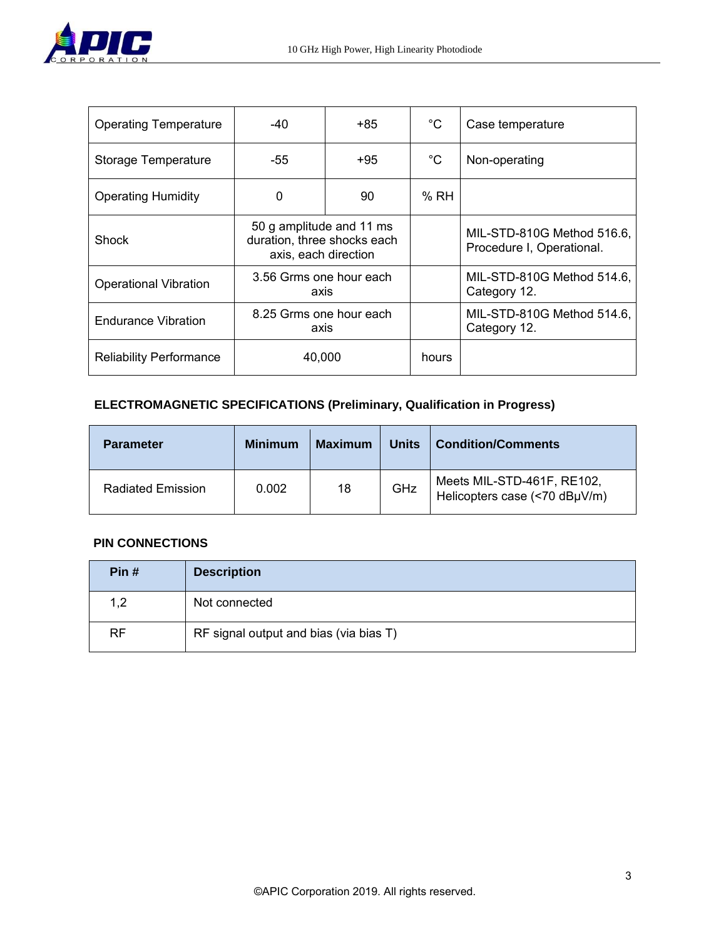

| <b>Operating Temperature</b>   | -40<br>+85                                                                      |    | $^{\circ}C$  | Case temperature                                        |
|--------------------------------|---------------------------------------------------------------------------------|----|--------------|---------------------------------------------------------|
| Storage Temperature            | $+95$<br>-55                                                                    |    | $^{\circ}$ C | Non-operating                                           |
| <b>Operating Humidity</b>      | 0                                                                               | 90 | %RH          |                                                         |
| <b>Shock</b>                   | 50 g amplitude and 11 ms<br>duration, three shocks each<br>axis, each direction |    |              | MIL-STD-810G Method 516.6,<br>Procedure I, Operational. |
| <b>Operational Vibration</b>   | 3.56 Grms one hour each<br>axis                                                 |    |              | MIL-STD-810G Method 514.6,<br>Category 12.              |
| <b>Endurance Vibration</b>     | 8.25 Grms one hour each<br>axis                                                 |    |              | MIL-STD-810G Method 514.6,<br>Category 12.              |
| <b>Reliability Performance</b> | 40,000                                                                          |    | hours        |                                                         |

# **ELECTROMAGNETIC SPECIFICATIONS (Preliminary, Qualification in Progress)**

| <b>Parameter</b>         | <b>Minimum</b> | <b>Maximum</b> | <b>Units</b> | Condition/Comments                                          |
|--------------------------|----------------|----------------|--------------|-------------------------------------------------------------|
| <b>Radiated Emission</b> | 0.002          | 18             | GHz          | Meets MIL-STD-461F, RE102,<br>Helicopters case (<70 dBµV/m) |

## **PIN CONNECTIONS**

| Pin#      | <b>Description</b>                     |
|-----------|----------------------------------------|
| 1,2       | Not connected                          |
| <b>RF</b> | RF signal output and bias (via bias T) |